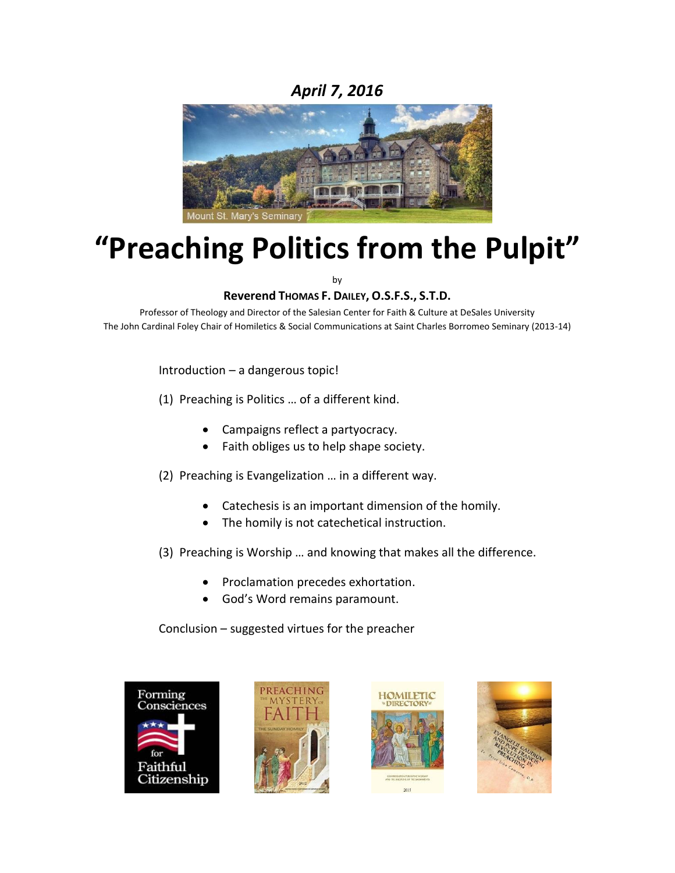# *April 7, 2016*



# **"Preaching Politics from the Pulpit"**

by

# **Reverend THOMAS F. DAILEY, O.S.F.S., S.T.D.**

Professor of Theology and Director of the Salesian Center for Faith & Culture at DeSales University The John Cardinal Foley Chair of Homiletics & Social Communications at Saint Charles Borromeo Seminary (2013-14)

Introduction – a dangerous topic!

(1) Preaching is Politics … of a different kind.

- Campaigns reflect a partyocracy.
- Faith obliges us to help shape society.
- (2) Preaching is Evangelization … in a different way.
	- Catechesis is an important dimension of the homily.
	- The homily is not catechetical instruction.
- (3) Preaching is Worship … and knowing that makes all the difference.
	- Proclamation precedes exhortation.
	- God's Word remains paramount.

Conclusion – suggested virtues for the preacher







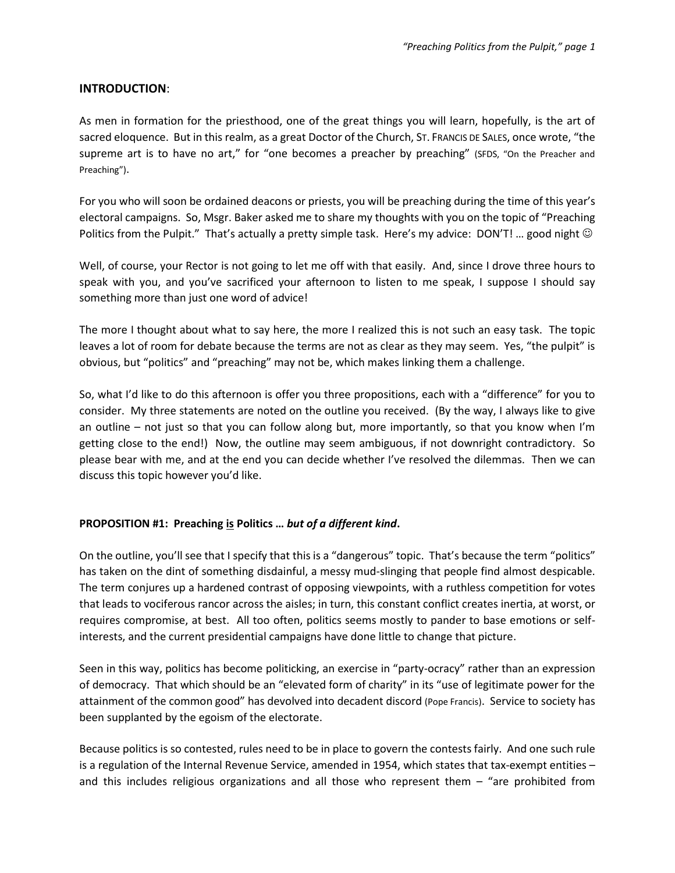#### **INTRODUCTION**:

As men in formation for the priesthood, one of the great things you will learn, hopefully, is the art of sacred eloquence. But in this realm, as a great Doctor of the Church, ST. FRANCIS DE SALES, once wrote, "the supreme art is to have no art," for "one becomes a preacher by preaching" (SFDS, "On the Preacher and Preaching").

For you who will soon be ordained deacons or priests, you will be preaching during the time of this year's electoral campaigns. So, Msgr. Baker asked me to share my thoughts with you on the topic of "Preaching Politics from the Pulpit." That's actually a pretty simple task. Here's my advice: DON'T! ... good night  $\odot$ 

Well, of course, your Rector is not going to let me off with that easily. And, since I drove three hours to speak with you, and you've sacrificed your afternoon to listen to me speak, I suppose I should say something more than just one word of advice!

The more I thought about what to say here, the more I realized this is not such an easy task. The topic leaves a lot of room for debate because the terms are not as clear as they may seem. Yes, "the pulpit" is obvious, but "politics" and "preaching" may not be, which makes linking them a challenge.

So, what I'd like to do this afternoon is offer you three propositions, each with a "difference" for you to consider. My three statements are noted on the outline you received. (By the way, I always like to give an outline – not just so that you can follow along but, more importantly, so that you know when I'm getting close to the end!) Now, the outline may seem ambiguous, if not downright contradictory. So please bear with me, and at the end you can decide whether I've resolved the dilemmas. Then we can discuss this topic however you'd like.

## **PROPOSITION #1: Preaching is Politics …** *but of a different kind***.**

On the outline, you'll see that I specify that this is a "dangerous" topic. That's because the term "politics" has taken on the dint of something disdainful, a messy mud-slinging that people find almost despicable. The term conjures up a hardened contrast of opposing viewpoints, with a ruthless competition for votes that leads to vociferous rancor across the aisles; in turn, this constant conflict creates inertia, at worst, or requires compromise, at best. All too often, politics seems mostly to pander to base emotions or selfinterests, and the current presidential campaigns have done little to change that picture.

Seen in this way, politics has become politicking, an exercise in "party-ocracy" rather than an expression of democracy. That which should be an "elevated form of charity" in its "use of legitimate power for the attainment of the common good" has devolved into decadent discord (Pope Francis). Service to society has been supplanted by the egoism of the electorate.

Because politics is so contested, rules need to be in place to govern the contests fairly. And one such rule is a regulation of the Internal Revenue Service, amended in 1954, which states that tax-exempt entities – and this includes religious organizations and all those who represent them – "are prohibited from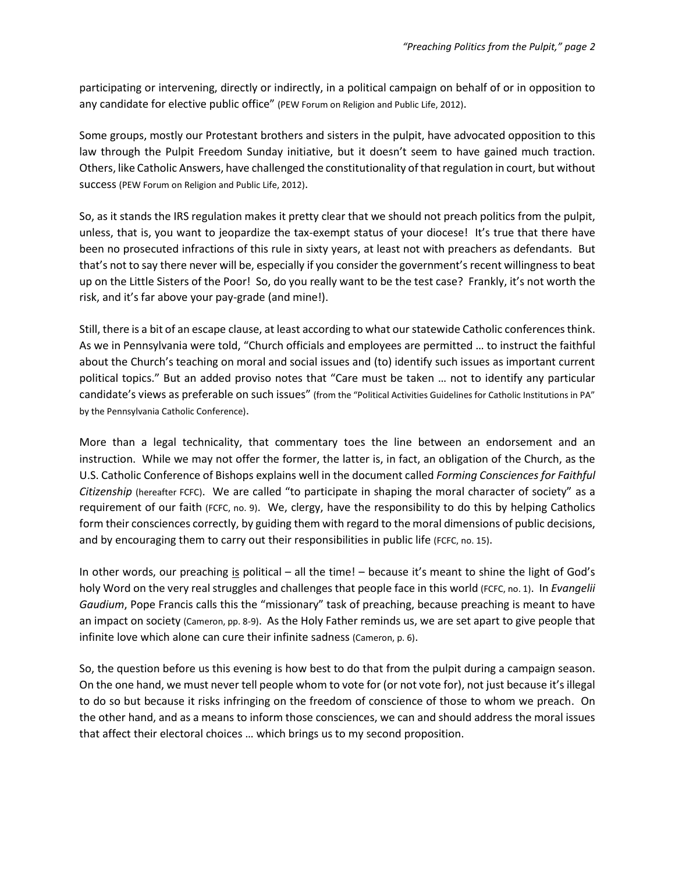participating or intervening, directly or indirectly, in a political campaign on behalf of or in opposition to any candidate for elective public office" (PEW Forum on Religion and Public Life, 2012).

Some groups, mostly our Protestant brothers and sisters in the pulpit, have advocated opposition to this law through the Pulpit Freedom Sunday initiative, but it doesn't seem to have gained much traction. Others, like Catholic Answers, have challenged the constitutionality of that regulation in court, but without success (PEW Forum on Religion and Public Life, 2012).

So, as it stands the IRS regulation makes it pretty clear that we should not preach politics from the pulpit, unless, that is, you want to jeopardize the tax-exempt status of your diocese! It's true that there have been no prosecuted infractions of this rule in sixty years, at least not with preachers as defendants. But that's not to say there never will be, especially if you consider the government's recent willingness to beat up on the Little Sisters of the Poor! So, do you really want to be the test case? Frankly, it's not worth the risk, and it's far above your pay-grade (and mine!).

Still, there is a bit of an escape clause, at least according to what our statewide Catholic conferences think. As we in Pennsylvania were told, "Church officials and employees are permitted … to instruct the faithful about the Church's teaching on moral and social issues and (to) identify such issues as important current political topics." But an added proviso notes that "Care must be taken … not to identify any particular candidate's views as preferable on such issues" (from the "Political Activities Guidelines for Catholic Institutions in PA" by the Pennsylvania Catholic Conference).

More than a legal technicality, that commentary toes the line between an endorsement and an instruction. While we may not offer the former, the latter is, in fact, an obligation of the Church, as the U.S. Catholic Conference of Bishops explains well in the document called *Forming Consciences for Faithful Citizenship* (hereafter FCFC). We are called "to participate in shaping the moral character of society" as a requirement of our faith (FCFC, no. 9). We, clergy, have the responsibility to do this by helping Catholics form their consciences correctly, by guiding them with regard to the moral dimensions of public decisions, and by encouraging them to carry out their responsibilities in public life (FCFC, no. 15).

In other words, our preaching is political – all the time! – because it's meant to shine the light of God's holy Word on the very real struggles and challenges that people face in this world (FCFC, no. 1). In *Evangelii Gaudium*, Pope Francis calls this the "missionary" task of preaching, because preaching is meant to have an impact on society (Cameron, pp. 8-9). As the Holy Father reminds us, we are set apart to give people that infinite love which alone can cure their infinite sadness (Cameron, p. 6).

So, the question before us this evening is how best to do that from the pulpit during a campaign season. On the one hand, we must never tell people whom to vote for (or not vote for), not just because it's illegal to do so but because it risks infringing on the freedom of conscience of those to whom we preach. On the other hand, and as a means to inform those consciences, we can and should address the moral issues that affect their electoral choices … which brings us to my second proposition.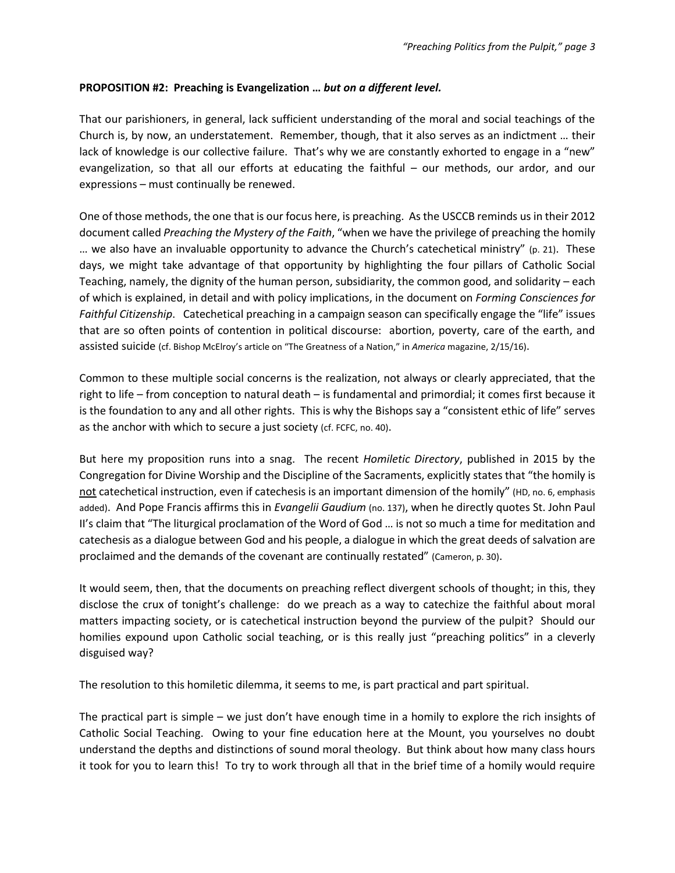#### **PROPOSITION #2: Preaching is Evangelization …** *but on a different level.*

That our parishioners, in general, lack sufficient understanding of the moral and social teachings of the Church is, by now, an understatement. Remember, though, that it also serves as an indictment … their lack of knowledge is our collective failure. That's why we are constantly exhorted to engage in a "new" evangelization, so that all our efforts at educating the faithful – our methods, our ardor, and our expressions – must continually be renewed.

One of those methods, the one that is our focus here, is preaching. As the USCCB reminds us in their 2012 document called *Preaching the Mystery of the Faith*, "when we have the privilege of preaching the homily … we also have an invaluable opportunity to advance the Church's catechetical ministry" (p. 21). These days, we might take advantage of that opportunity by highlighting the four pillars of Catholic Social Teaching, namely, the dignity of the human person, subsidiarity, the common good, and solidarity – each of which is explained, in detail and with policy implications, in the document on *Forming Consciences for Faithful Citizenship*. Catechetical preaching in a campaign season can specifically engage the "life" issues that are so often points of contention in political discourse: abortion, poverty, care of the earth, and assisted suicide (cf. Bishop McElroy's article on "The Greatness of a Nation," in *America* magazine, 2/15/16).

Common to these multiple social concerns is the realization, not always or clearly appreciated, that the right to life – from conception to natural death – is fundamental and primordial; it comes first because it is the foundation to any and all other rights. This is why the Bishops say a "consistent ethic of life" serves as the anchor with which to secure a just society (cf. FCFC, no. 40).

But here my proposition runs into a snag. The recent *Homiletic Directory*, published in 2015 by the Congregation for Divine Worship and the Discipline of the Sacraments, explicitly states that "the homily is not catechetical instruction, even if catechesis is an important dimension of the homily" (HD, no. 6, emphasis added). And Pope Francis affirms this in *Evangelii Gaudium* (no. 137), when he directly quotes St. John Paul II's claim that "The liturgical proclamation of the Word of God … is not so much a time for meditation and catechesis as a dialogue between God and his people, a dialogue in which the great deeds of salvation are proclaimed and the demands of the covenant are continually restated" (Cameron, p. 30).

It would seem, then, that the documents on preaching reflect divergent schools of thought; in this, they disclose the crux of tonight's challenge: do we preach as a way to catechize the faithful about moral matters impacting society, or is catechetical instruction beyond the purview of the pulpit? Should our homilies expound upon Catholic social teaching, or is this really just "preaching politics" in a cleverly disguised way?

The resolution to this homiletic dilemma, it seems to me, is part practical and part spiritual.

The practical part is simple – we just don't have enough time in a homily to explore the rich insights of Catholic Social Teaching. Owing to your fine education here at the Mount, you yourselves no doubt understand the depths and distinctions of sound moral theology. But think about how many class hours it took for you to learn this! To try to work through all that in the brief time of a homily would require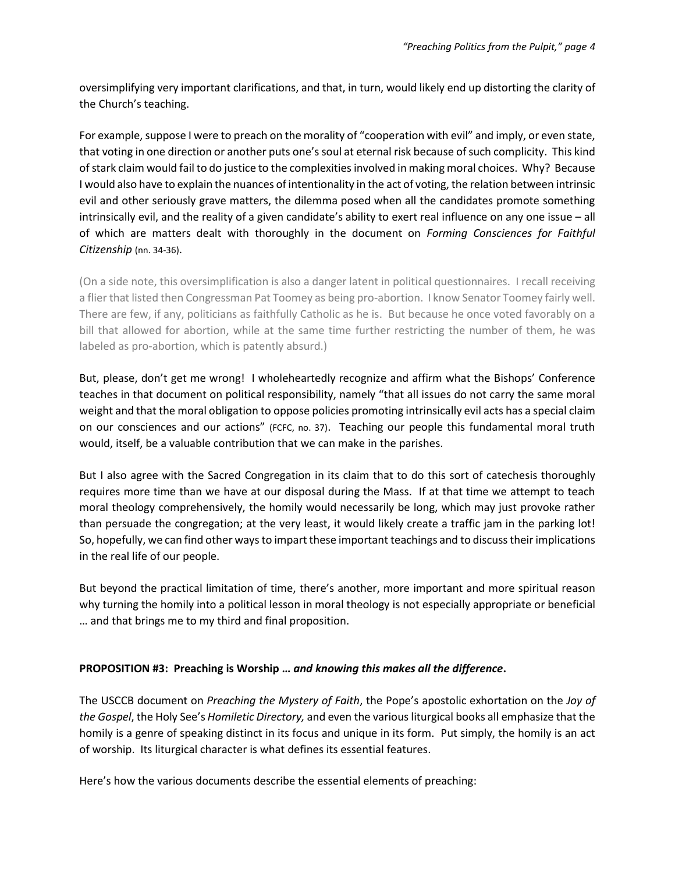oversimplifying very important clarifications, and that, in turn, would likely end up distorting the clarity of the Church's teaching.

For example, suppose I were to preach on the morality of "cooperation with evil" and imply, or even state, that voting in one direction or another puts one's soul at eternal risk because of such complicity. This kind of stark claim would fail to do justice to the complexities involved in making moral choices. Why? Because I would also have to explain the nuances of intentionality in the act of voting, the relation between intrinsic evil and other seriously grave matters, the dilemma posed when all the candidates promote something intrinsically evil, and the reality of a given candidate's ability to exert real influence on any one issue – all of which are matters dealt with thoroughly in the document on *Forming Consciences for Faithful Citizenship* (nn. 34-36).

(On a side note, this oversimplification is also a danger latent in political questionnaires. I recall receiving a flier that listed then Congressman Pat Toomey as being pro-abortion. I know Senator Toomey fairly well. There are few, if any, politicians as faithfully Catholic as he is. But because he once voted favorably on a bill that allowed for abortion, while at the same time further restricting the number of them, he was labeled as pro-abortion, which is patently absurd.)

But, please, don't get me wrong! I wholeheartedly recognize and affirm what the Bishops' Conference teaches in that document on political responsibility, namely "that all issues do not carry the same moral weight and that the moral obligation to oppose policies promoting intrinsically evil acts has a special claim on our consciences and our actions" (FCFC, no. 37). Teaching our people this fundamental moral truth would, itself, be a valuable contribution that we can make in the parishes.

But I also agree with the Sacred Congregation in its claim that to do this sort of catechesis thoroughly requires more time than we have at our disposal during the Mass. If at that time we attempt to teach moral theology comprehensively, the homily would necessarily be long, which may just provoke rather than persuade the congregation; at the very least, it would likely create a traffic jam in the parking lot! So, hopefully, we can find other ways to impart these important teachings and to discuss their implications in the real life of our people.

But beyond the practical limitation of time, there's another, more important and more spiritual reason why turning the homily into a political lesson in moral theology is not especially appropriate or beneficial … and that brings me to my third and final proposition.

## **PROPOSITION #3: Preaching is Worship …** *and knowing this makes all the difference***.**

The USCCB document on *Preaching the Mystery of Faith*, the Pope's apostolic exhortation on the *Joy of the Gospel*, the Holy See's *Homiletic Directory,* and even the various liturgical books all emphasize that the homily is a genre of speaking distinct in its focus and unique in its form. Put simply, the homily is an act of worship. Its liturgical character is what defines its essential features.

Here's how the various documents describe the essential elements of preaching: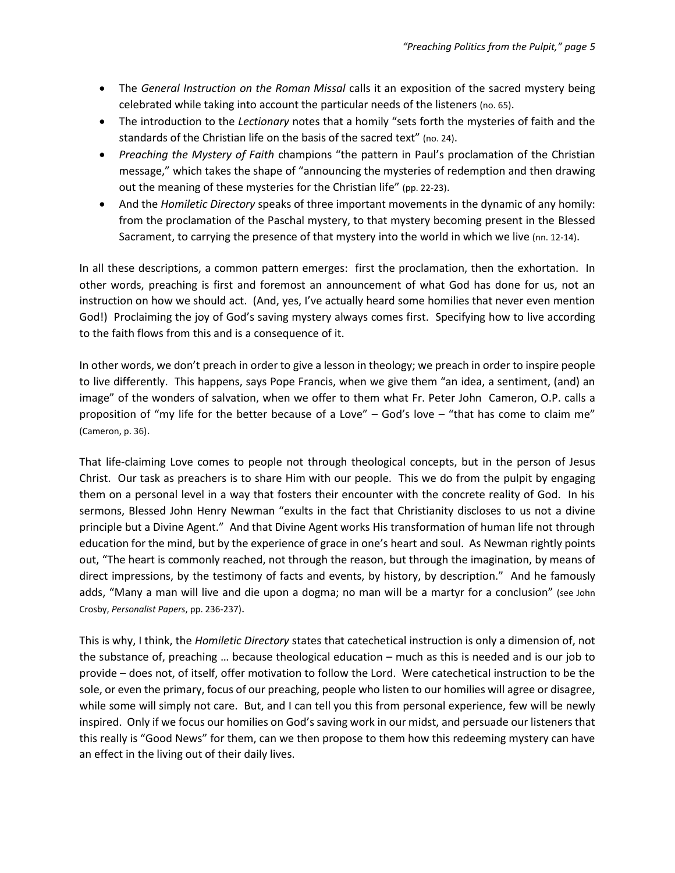- The *General Instruction on the Roman Missal* calls it an exposition of the sacred mystery being celebrated while taking into account the particular needs of the listeners (no. 65).
- The introduction to the *Lectionary* notes that a homily "sets forth the mysteries of faith and the standards of the Christian life on the basis of the sacred text" (no. 24).
- *Preaching the Mystery of Faith* champions "the pattern in Paul's proclamation of the Christian message," which takes the shape of "announcing the mysteries of redemption and then drawing out the meaning of these mysteries for the Christian life" (pp. 22-23).
- And the *Homiletic Directory* speaks of three important movements in the dynamic of any homily: from the proclamation of the Paschal mystery, to that mystery becoming present in the Blessed Sacrament, to carrying the presence of that mystery into the world in which we live (nn. 12-14).

In all these descriptions, a common pattern emerges: first the proclamation, then the exhortation. In other words, preaching is first and foremost an announcement of what God has done for us, not an instruction on how we should act. (And, yes, I've actually heard some homilies that never even mention God!) Proclaiming the joy of God's saving mystery always comes first. Specifying how to live according to the faith flows from this and is a consequence of it.

In other words, we don't preach in order to give a lesson in theology; we preach in order to inspire people to live differently. This happens, says Pope Francis, when we give them "an idea, a sentiment, (and) an image" of the wonders of salvation, when we offer to them what Fr. Peter John Cameron, O.P. calls a proposition of "my life for the better because of a Love" – God's love – "that has come to claim me" (Cameron, p. 36).

That life-claiming Love comes to people not through theological concepts, but in the person of Jesus Christ. Our task as preachers is to share Him with our people. This we do from the pulpit by engaging them on a personal level in a way that fosters their encounter with the concrete reality of God. In his sermons, Blessed John Henry Newman "exults in the fact that Christianity discloses to us not a divine principle but a Divine Agent." And that Divine Agent works His transformation of human life not through education for the mind, but by the experience of grace in one's heart and soul. As Newman rightly points out, "The heart is commonly reached, not through the reason, but through the imagination, by means of direct impressions, by the testimony of facts and events, by history, by description." And he famously adds, "Many a man will live and die upon a dogma; no man will be a martyr for a conclusion" (see John Crosby, *Personalist Papers*, pp. 236-237).

This is why, I think, the *Homiletic Directory* states that catechetical instruction is only a dimension of, not the substance of, preaching … because theological education – much as this is needed and is our job to provide – does not, of itself, offer motivation to follow the Lord. Were catechetical instruction to be the sole, or even the primary, focus of our preaching, people who listen to our homilies will agree or disagree, while some will simply not care. But, and I can tell you this from personal experience, few will be newly inspired. Only if we focus our homilies on God's saving work in our midst, and persuade our listeners that this really is "Good News" for them, can we then propose to them how this redeeming mystery can have an effect in the living out of their daily lives.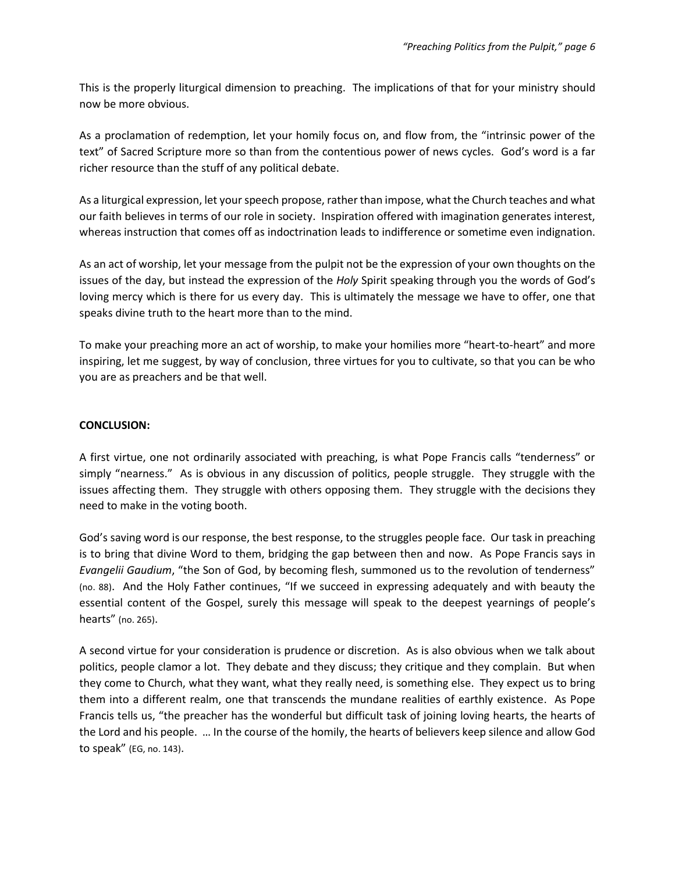This is the properly liturgical dimension to preaching. The implications of that for your ministry should now be more obvious.

As a proclamation of redemption, let your homily focus on, and flow from, the "intrinsic power of the text" of Sacred Scripture more so than from the contentious power of news cycles. God's word is a far richer resource than the stuff of any political debate.

As a liturgical expression, let your speech propose, rather than impose, what the Church teaches and what our faith believes in terms of our role in society. Inspiration offered with imagination generates interest, whereas instruction that comes off as indoctrination leads to indifference or sometime even indignation.

As an act of worship, let your message from the pulpit not be the expression of your own thoughts on the issues of the day, but instead the expression of the *Holy* Spirit speaking through you the words of God's loving mercy which is there for us every day. This is ultimately the message we have to offer, one that speaks divine truth to the heart more than to the mind.

To make your preaching more an act of worship, to make your homilies more "heart-to-heart" and more inspiring, let me suggest, by way of conclusion, three virtues for you to cultivate, so that you can be who you are as preachers and be that well.

#### **CONCLUSION:**

A first virtue, one not ordinarily associated with preaching, is what Pope Francis calls "tenderness" or simply "nearness." As is obvious in any discussion of politics, people struggle. They struggle with the issues affecting them. They struggle with others opposing them. They struggle with the decisions they need to make in the voting booth.

God's saving word is our response, the best response, to the struggles people face. Our task in preaching is to bring that divine Word to them, bridging the gap between then and now. As Pope Francis says in *Evangelii Gaudium*, "the Son of God, by becoming flesh, summoned us to the revolution of tenderness" (no. 88). And the Holy Father continues, "If we succeed in expressing adequately and with beauty the essential content of the Gospel, surely this message will speak to the deepest yearnings of people's hearts" (no. 265).

A second virtue for your consideration is prudence or discretion. As is also obvious when we talk about politics, people clamor a lot. They debate and they discuss; they critique and they complain. But when they come to Church, what they want, what they really need, is something else. They expect us to bring them into a different realm, one that transcends the mundane realities of earthly existence. As Pope Francis tells us, "the preacher has the wonderful but difficult task of joining loving hearts, the hearts of the Lord and his people. … In the course of the homily, the hearts of believers keep silence and allow God to speak" (EG, no. 143).